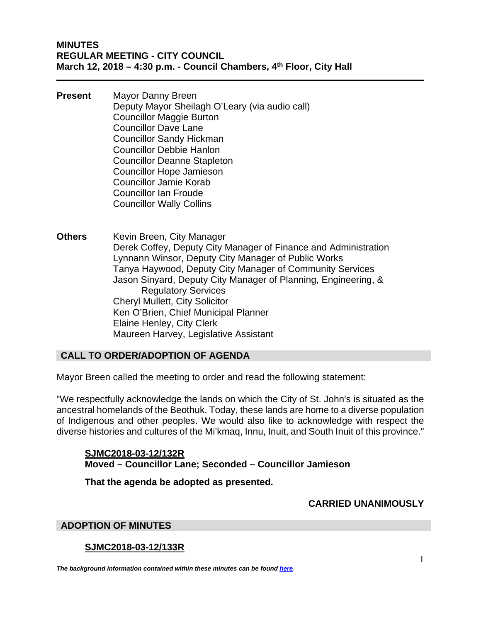**Present** Mayor Danny Breen Deputy Mayor Sheilagh O'Leary (via audio call) Councillor Maggie Burton Councillor Dave Lane Councillor Sandy Hickman Councillor Debbie Hanlon Councillor Deanne Stapleton Councillor Hope Jamieson Councillor Jamie Korab Councillor Ian Froude Councillor Wally Collins

**Others** Kevin Breen, City Manager Derek Coffey, Deputy City Manager of Finance and Administration Lynnann Winsor, Deputy City Manager of Public Works Tanya Haywood, Deputy City Manager of Community Services Jason Sinyard, Deputy City Manager of Planning, Engineering, & Regulatory Services Cheryl Mullett, City Solicitor Ken O'Brien, Chief Municipal Planner Elaine Henley, City Clerk Maureen Harvey, Legislative Assistant

# **CALL TO ORDER/ADOPTION OF AGENDA**

Mayor Breen called the meeting to order and read the following statement:

"We respectfully acknowledge the lands on which the City of St. John's is situated as the ancestral homelands of the Beothuk. Today, these lands are home to a diverse population of Indigenous and other peoples. We would also like to acknowledge with respect the diverse histories and cultures of the Mi'kmaq, Innu, Inuit, and South Inuit of this province."

**SJMC2018-03-12/132R Moved – Councillor Lane; Seconded – Councillor Jamieson** 

**That the agenda be adopted as presented.** 

#### **CARRIED UNANIMOUSLY**

#### **ADOPTION OF MINUTES**

#### **SJMC2018-03-12/133R**

*The background information contained within these minutes can be found [here.](http://stjohns.ca/sites/default/files/files/agenda/Regular_Agenda_March%2012%2C%202018.pdf)*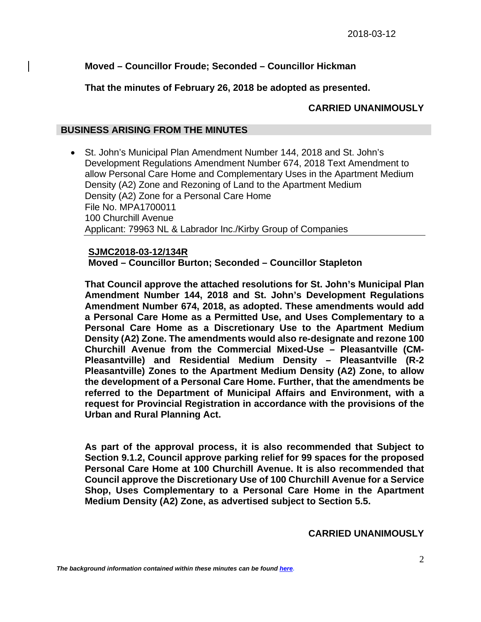# **Moved – Councillor Froude; Seconded – Councillor Hickman**

## **That the minutes of February 26, 2018 be adopted as presented.**

# **CARRIED UNANIMOUSLY**

## **BUSINESS ARISING FROM THE MINUTES**

 St. John's Municipal Plan Amendment Number 144, 2018 and St. John's Development Regulations Amendment Number 674, 2018 Text Amendment to allow Personal Care Home and Complementary Uses in the Apartment Medium Density (A2) Zone and Rezoning of Land to the Apartment Medium Density (A2) Zone for a Personal Care Home File No. MPA1700011 100 Churchill Avenue Applicant: 79963 NL & Labrador Inc./Kirby Group of Companies

#### **SJMC2018-03-12/134R**

**Moved – Councillor Burton; Seconded – Councillor Stapleton** 

**That Council approve the attached resolutions for St. John's Municipal Plan Amendment Number 144, 2018 and St. John's Development Regulations Amendment Number 674, 2018, as adopted. These amendments would add a Personal Care Home as a Permitted Use, and Uses Complementary to a Personal Care Home as a Discretionary Use to the Apartment Medium Density (A2) Zone. The amendments would also re-designate and rezone 100 Churchill Avenue from the Commercial Mixed-Use – Pleasantville (CM-Pleasantville) and Residential Medium Density – Pleasantville (R-2 Pleasantville) Zones to the Apartment Medium Density (A2) Zone, to allow the development of a Personal Care Home. Further, that the amendments be referred to the Department of Municipal Affairs and Environment, with a request for Provincial Registration in accordance with the provisions of the Urban and Rural Planning Act.** 

**As part of the approval process, it is also recommended that Subject to Section 9.1.2, Council approve parking relief for 99 spaces for the proposed Personal Care Home at 100 Churchill Avenue. It is also recommended that Council approve the Discretionary Use of 100 Churchill Avenue for a Service Shop, Uses Complementary to a Personal Care Home in the Apartment Medium Density (A2) Zone, as advertised subject to Section 5.5.** 

**CARRIED UNANIMOUSLY**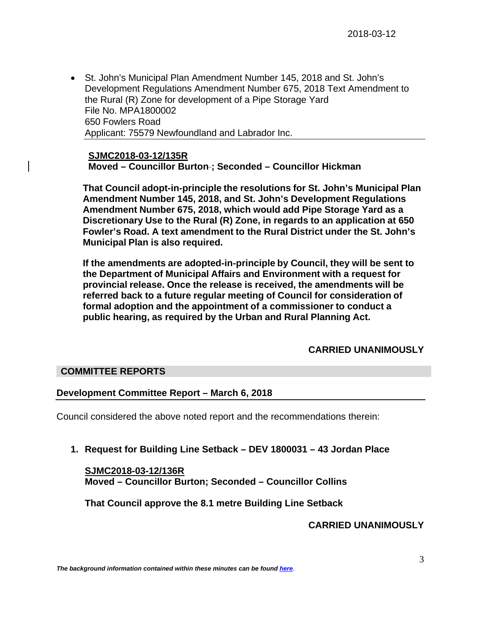St. John's Municipal Plan Amendment Number 145, 2018 and St. John's Development Regulations Amendment Number 675, 2018 Text Amendment to the Rural (R) Zone for development of a Pipe Storage Yard File No. MPA1800002 650 Fowlers Road Applicant: 75579 Newfoundland and Labrador Inc.

**SJMC2018-03-12/135R Moved – Councillor Burton ; Seconded – Councillor Hickman** 

**That Council adopt-in-principle the resolutions for St. John's Municipal Plan Amendment Number 145, 2018, and St. John's Development Regulations Amendment Number 675, 2018, which would add Pipe Storage Yard as a Discretionary Use to the Rural (R) Zone, in regards to an application at 650 Fowler's Road. A text amendment to the Rural District under the St. John's Municipal Plan is also required.** 

**If the amendments are adopted-in-principle by Council, they will be sent to the Department of Municipal Affairs and Environment with a request for provincial release. Once the release is received, the amendments will be referred back to a future regular meeting of Council for consideration of formal adoption and the appointment of a commissioner to conduct a public hearing, as required by the Urban and Rural Planning Act.** 

# **CARRIED UNANIMOUSLY**

## **COMMITTEE REPORTS**

## **Development Committee Report – March 6, 2018**

Council considered the above noted report and the recommendations therein:

**1. Request for Building Line Setback – DEV 1800031 – 43 Jordan Place** 

## **SJMC2018-03-12/136R Moved – Councillor Burton; Seconded – Councillor Collins**

**That Council approve the 8.1 metre Building Line Setback** 

## **CARRIED UNANIMOUSLY**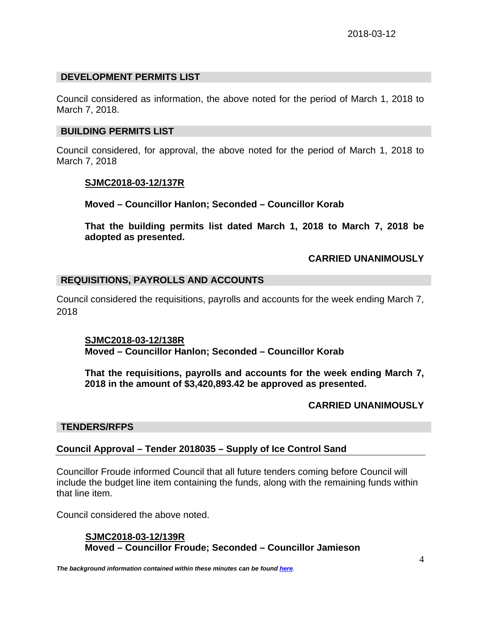### **DEVELOPMENT PERMITS LIST**

Council considered as information, the above noted for the period of March 1, 2018 to March 7, 2018.

#### **BUILDING PERMITS LIST**

Council considered, for approval, the above noted for the period of March 1, 2018 to March 7, 2018

#### **SJMC2018-03-12/137R**

**Moved – Councillor Hanlon; Seconded – Councillor Korab** 

**That the building permits list dated March 1, 2018 to March 7, 2018 be adopted as presented.** 

### **CARRIED UNANIMOUSLY**

#### **REQUISITIONS, PAYROLLS AND ACCOUNTS**

Council considered the requisitions, payrolls and accounts for the week ending March 7, 2018

**SJMC2018-03-12/138R Moved – Councillor Hanlon; Seconded – Councillor Korab** 

**That the requisitions, payrolls and accounts for the week ending March 7, 2018 in the amount of \$3,420,893.42 be approved as presented.** 

#### **CARRIED UNANIMOUSLY**

#### **TENDERS/RFPS**

#### **Council Approval – Tender 2018035 – Supply of Ice Control Sand**

Councillor Froude informed Council that all future tenders coming before Council will include the budget line item containing the funds, along with the remaining funds within that line item.

Council considered the above noted.

#### **SJMC2018-03-12/139R Moved – Councillor Froude; Seconded – Councillor Jamieson**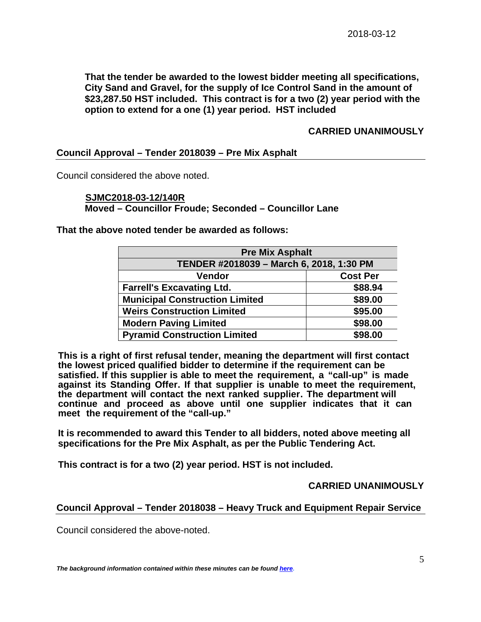**That the tender be awarded to the lowest bidder meeting all specifications, City Sand and Gravel, for the supply of Ice Control Sand in the amount of \$23,287.50 HST included. This contract is for a two (2) year period with the option to extend for a one (1) year period. HST included** 

### **CARRIED UNANIMOUSLY**

#### **Council Approval – Tender 2018039 – Pre Mix Asphalt**

Council considered the above noted.

#### **SJMC2018-03-12/140R Moved – Councillor Froude; Seconded – Councillor Lane**

**That the above noted tender be awarded as follows:** 

| <b>Pre Mix Asphalt</b>                   |                 |
|------------------------------------------|-----------------|
| TENDER #2018039 - March 6, 2018, 1:30 PM |                 |
| Vendor                                   | <b>Cost Per</b> |
| <b>Farrell's Excavating Ltd.</b>         | \$88.94         |
| <b>Municipal Construction Limited</b>    | \$89.00         |
| <b>Weirs Construction Limited</b>        | \$95.00         |
| <b>Modern Paving Limited</b>             | \$98.00         |
| <b>Pyramid Construction Limited</b>      | \$98.00         |

**This is a right of first refusal tender, meaning the department will first contact the lowest priced qualified bidder to determine if the requirement can be satisfied. If this supplier is able to meet the requirement, a "call-up" is made against its Standing Offer. If that supplier is unable to meet the requirement, the department will contact the next ranked supplier. The department will continue and proceed as above until one supplier indicates that it can meet the requirement of the "call-up."** 

**It is recommended to award this Tender to all bidders, noted above meeting all specifications for the Pre Mix Asphalt, as per the Public Tendering Act.** 

**This contract is for a two (2) year period. HST is not included.** 

**CARRIED UNANIMOUSLY** 

### **Council Approval – Tender 2018038 – Heavy Truck and Equipment Repair Service**

Council considered the above-noted.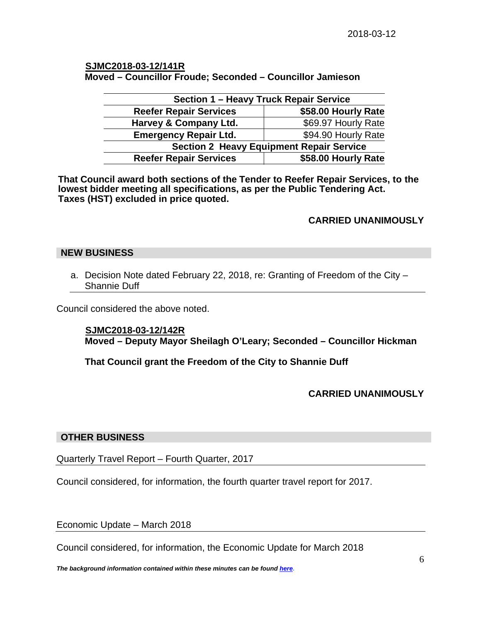## **SJMC2018-03-12/141R**

**Moved – Councillor Froude; Seconded – Councillor Jamieson** 

| <b>Section 1 - Heavy Truck Repair Service</b>   |                     |
|-------------------------------------------------|---------------------|
| <b>Reefer Repair Services</b>                   | \$58.00 Hourly Rate |
| Harvey & Company Ltd.                           | \$69.97 Hourly Rate |
| <b>Emergency Repair Ltd.</b>                    | \$94.90 Hourly Rate |
| <b>Section 2 Heavy Equipment Repair Service</b> |                     |
| <b>Reefer Repair Services</b>                   | \$58.00 Hourly Rate |

**That Council award both sections of the Tender to Reefer Repair Services, to the lowest bidder meeting all specifications, as per the Public Tendering Act. Taxes (HST) excluded in price quoted.** 

## **CARRIED UNANIMOUSLY**

### **NEW BUSINESS**

a. Decision Note dated February 22, 2018, re: Granting of Freedom of the City – Shannie Duff

Council considered the above noted.

#### **SJMC2018-03-12/142R**

**Moved – Deputy Mayor Sheilagh O'Leary; Seconded – Councillor Hickman** 

**That Council grant the Freedom of the City to Shannie Duff** 

## **CARRIED UNANIMOUSLY**

#### **OTHER BUSINESS**

Quarterly Travel Report – Fourth Quarter, 2017

Council considered, for information, the fourth quarter travel report for 2017.

Economic Update – March 2018

Council considered, for information, the Economic Update for March 2018